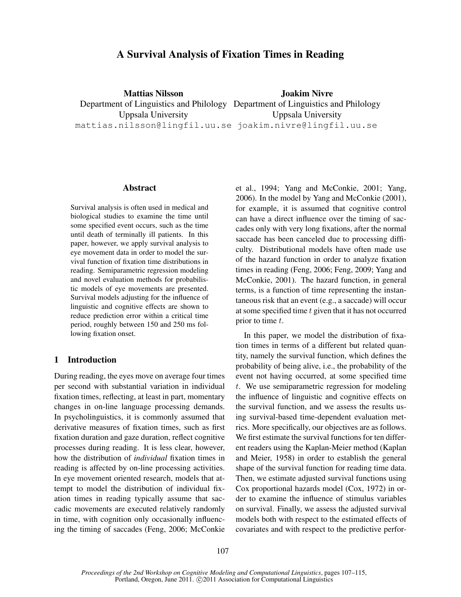# A Survival Analysis of Fixation Times in Reading

Mattias Nilsson Department of Linguistics and Philology Department of Linguistics and Philology Uppsala University mattias.nilsson@lingfil.uu.se joakim.nivre@lingfil.uu.se Joakim Nivre Uppsala University

## Abstract

Survival analysis is often used in medical and biological studies to examine the time until some specified event occurs, such as the time until death of terminally ill patients. In this paper, however, we apply survival analysis to eye movement data in order to model the survival function of fixation time distributions in reading. Semiparametric regression modeling and novel evaluation methods for probabilistic models of eye movements are presented. Survival models adjusting for the influence of linguistic and cognitive effects are shown to reduce prediction error within a critical time period, roughly between 150 and 250 ms following fixation onset.

### 1 Introduction

During reading, the eyes move on average four times per second with substantial variation in individual fixation times, reflecting, at least in part, momentary changes in on-line language processing demands. In psycholinguistics, it is commonly assumed that derivative measures of fixation times, such as first fixation duration and gaze duration, reflect cognitive processes during reading. It is less clear, however, how the distribution of *individual* fixation times in reading is affected by on-line processing activities. In eye movement oriented research, models that attempt to model the distribution of individual fixation times in reading typically assume that saccadic movements are executed relatively randomly in time, with cognition only occasionally influencing the timing of saccades (Feng, 2006; McConkie et al., 1994; Yang and McConkie, 2001; Yang, 2006). In the model by Yang and McConkie (2001), for example, it is assumed that cognitive control can have a direct influence over the timing of saccades only with very long fixations, after the normal saccade has been canceled due to processing difficulty. Distributional models have often made use of the hazard function in order to analyze fixation times in reading (Feng, 2006; Feng, 2009; Yang and McConkie, 2001). The hazard function, in general terms, is a function of time representing the instantaneous risk that an event (e.g., a saccade) will occur at some specified time  $t$  given that it has not occurred prior to time  $t$ .

In this paper, we model the distribution of fixation times in terms of a different but related quantity, namely the survival function, which defines the probability of being alive, i.e., the probability of the event not having occurred, at some specified time t. We use semiparametric regression for modeling the influence of linguistic and cognitive effects on the survival function, and we assess the results using survival-based time-dependent evaluation metrics. More specifically, our objectives are as follows. We first estimate the survival functions for ten different readers using the Kaplan-Meier method (Kaplan and Meier, 1958) in order to establish the general shape of the survival function for reading time data. Then, we estimate adjusted survival functions using Cox proportional hazards model (Cox, 1972) in order to examine the influence of stimulus variables on survival. Finally, we assess the adjusted survival models both with respect to the estimated effects of covariates and with respect to the predictive perfor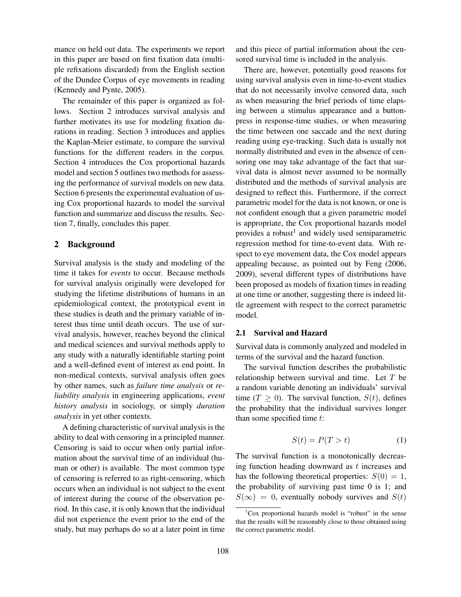mance on held out data. The experiments we report in this paper are based on first fixation data (multiple refixations discarded) from the English section of the Dundee Corpus of eye movements in reading (Kennedy and Pynte, 2005).

The remainder of this paper is organized as follows. Section 2 introduces survival analysis and further motivates its use for modeling fixation durations in reading. Section 3 introduces and applies the Kaplan-Meier estimate, to compare the survival functions for the different readers in the corpus. Section 4 introduces the Cox proportional hazards model and section 5 outlines two methods for assessing the performance of survival models on new data. Section 6 presents the experimental evaluation of using Cox proportional hazards to model the survival function and summarize and discuss the results. Section 7, finally, concludes this paper.

## 2 Background

Survival analysis is the study and modeling of the time it takes for *events* to occur. Because methods for survival analysis originally were developed for studying the lifetime distributions of humans in an epidemiological context, the prototypical event in these studies is death and the primary variable of interest thus time until death occurs. The use of survival analysis, however, reaches beyond the clinical and medical sciences and survival methods apply to any study with a naturally identifiable starting point and a well-defined event of interest as end point. In non-medical contexts, survival analysis often goes by other names, such as *failure time analysis* or *reliability analysis* in engineering applications, *event history analysis* in sociology, or simply *duration analysis* in yet other contexts.

A defining characteristic of survival analysis is the ability to deal with censoring in a principled manner. Censoring is said to occur when only partial information about the survival time of an individual (human or other) is available. The most common type of censoring is referred to as right-censoring, which occurs when an individual is not subject to the event of interest during the course of the observation period. In this case, it is only known that the individual did not experience the event prior to the end of the study, but may perhaps do so at a later point in time and this piece of partial information about the censored survival time is included in the analysis.

There are, however, potentially good reasons for using survival analysis even in time-to-event studies that do not necessarily involve censored data, such as when measuring the brief periods of time elapsing between a stimulus appearance and a buttonpress in response-time studies, or when measuring the time between one saccade and the next during reading using eye-tracking. Such data is usually not normally distributed and even in the absence of censoring one may take advantage of the fact that survival data is almost never assumed to be normally distributed and the methods of survival analysis are designed to reflect this. Furthermore, if the correct parametric model for the data is not known, or one is not confident enough that a given parametric model is appropriate, the Cox proportional hazards model provides a robust<sup>1</sup> and widely used semiparametric regression method for time-to-event data. With respect to eye movement data, the Cox model appears appealing because, as pointed out by Feng (2006, 2009), several different types of distributions have been proposed as models of fixation times in reading at one time or another, suggesting there is indeed little agreement with respect to the correct parametric model.

### 2.1 Survival and Hazard

Survival data is commonly analyzed and modeled in terms of the survival and the hazard function.

The survival function describes the probabilistic relationship between survival and time. Let  $T$  be a random variable denoting an individuals' survival time ( $T \geq 0$ ). The survival function,  $S(t)$ , defines the probability that the individual survives longer than some specified time t:

$$
S(t) = P(T > t)
$$
 (1)

The survival function is a monotonically decreasing function heading downward as  $t$  increases and has the following theoretical properties:  $S(0) = 1$ , the probability of surviving past time 0 is 1; and  $S(\infty) = 0$ , eventually nobody survives and  $S(t)$ 

 ${}^{1}$ Cox proportional hazards model is "robust" in the sense that the results will be reasonably close to those obtained using the correct parametric model.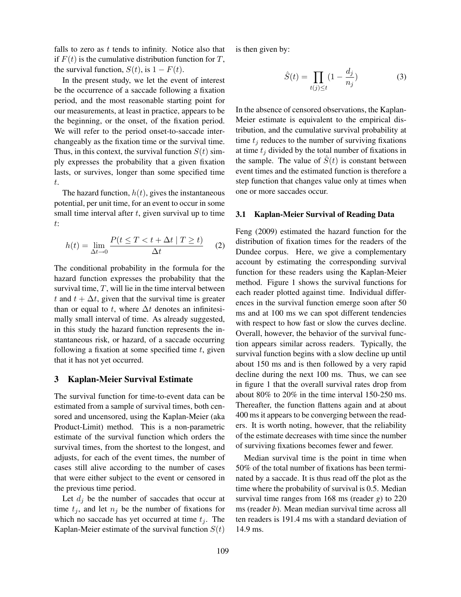falls to zero as  $t$  tends to infinity. Notice also that if  $F(t)$  is the cumulative distribution function for T, the survival function,  $S(t)$ , is  $1 - F(t)$ .

In the present study, we let the event of interest be the occurrence of a saccade following a fixation period, and the most reasonable starting point for our measurements, at least in practice, appears to be the beginning, or the onset, of the fixation period. We will refer to the period onset-to-saccade interchangeably as the fixation time or the survival time. Thus, in this context, the survival function  $S(t)$  simply expresses the probability that a given fixation lasts, or survives, longer than some specified time t.

The hazard function,  $h(t)$ , gives the instantaneous potential, per unit time, for an event to occur in some small time interval after  $t$ , given survival up to time t:

$$
h(t) = \lim_{\Delta t \to 0} \frac{P(t \le T < t + \Delta t | T \ge t)}{\Delta t}
$$
 (2)

The conditional probability in the formula for the hazard function expresses the probability that the survival time,  $T$ , will lie in the time interval between t and  $t + \Delta t$ , given that the survival time is greater than or equal to t, where  $\Delta t$  denotes an infinitesimally small interval of time. As already suggested, in this study the hazard function represents the instantaneous risk, or hazard, of a saccade occurring following a fixation at some specified time  $t$ , given that it has not yet occurred.

### 3 Kaplan-Meier Survival Estimate

The survival function for time-to-event data can be estimated from a sample of survival times, both censored and uncensored, using the Kaplan-Meier (aka Product-Limit) method. This is a non-parametric estimate of the survival function which orders the survival times, from the shortest to the longest, and adjusts, for each of the event times, the number of cases still alive according to the number of cases that were either subject to the event or censored in the previous time period.

Let  $d_i$  be the number of saccades that occur at time  $t_j$ , and let  $n_j$  be the number of fixations for which no saccade has yet occurred at time  $t_i$ . The Kaplan-Meier estimate of the survival function  $S(t)$ 

is then given by:

$$
\hat{S}(t) = \prod_{t(j)\leq t} (1 - \frac{d_j}{n_j})
$$
\n(3)

In the absence of censored observations, the Kaplan-Meier estimate is equivalent to the empirical distribution, and the cumulative survival probability at time  $t_j$  reduces to the number of surviving fixations at time  $t_i$  divided by the total number of fixations in the sample. The value of  $\tilde{S}(t)$  is constant between event times and the estimated function is therefore a step function that changes value only at times when one or more saccades occur.

#### 3.1 Kaplan-Meier Survival of Reading Data

Feng (2009) estimated the hazard function for the distribution of fixation times for the readers of the Dundee corpus. Here, we give a complementary account by estimating the corresponding survival function for these readers using the Kaplan-Meier method. Figure 1 shows the survival functions for each reader plotted against time. Individual differences in the survival function emerge soon after 50 ms and at 100 ms we can spot different tendencies with respect to how fast or slow the curves decline. Overall, however, the behavior of the survival function appears similar across readers. Typically, the survival function begins with a slow decline up until about 150 ms and is then followed by a very rapid decline during the next 100 ms. Thus, we can see in figure 1 that the overall survival rates drop from about 80% to 20% in the time interval 150-250 ms. Thereafter, the function flattens again and at about 400 ms it appears to be converging between the readers. It is worth noting, however, that the reliability of the estimate decreases with time since the number of surviving fixations becomes fewer and fewer.

Median survival time is the point in time when 50% of the total number of fixations has been terminated by a saccade. It is thus read off the plot as the time where the probability of survival is 0.5. Median survival time ranges from 168 ms (reader *g*) to 220 ms (reader *b*). Mean median survival time across all ten readers is 191.4 ms with a standard deviation of 14.9 ms.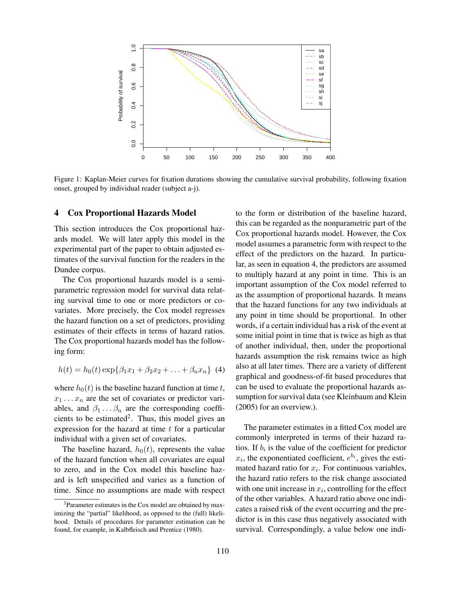

Figure 1: Kaplan-Meier curves for fixation durations showing the cumulative survival probability, following fixation onset, grouped by individual reader (subject a-j).

### 4 Cox Proportional Hazards Model

This section introduces the Cox proportional hazards model. We will later apply this model in the experimental part of the paper to obtain adjusted estimates of the survival function for the readers in the Dundee corpus.

The Cox proportional hazards model is a semiparametric regression model for survival data relating survival time to one or more predictors or covariates. More precisely, the Cox model regresses the hazard function on a set of predictors, providing estimates of their effects in terms of hazard ratios. The Cox proportional hazards model has the following form:

$$
h(t) = h_0(t) \exp\{\beta_1 x_1 + \beta_2 x_2 + \ldots + \beta_n x_n\} \tag{4}
$$

where  $h_0(t)$  is the baseline hazard function at time t,  $x_1 \ldots x_n$  are the set of covariates or predictor variables, and  $\beta_1 \dots \beta_n$  are the corresponding coefficients to be estimated<sup>2</sup>. Thus, this model gives an expression for the hazard at time  $t$  for a particular individual with a given set of covariates.

The baseline hazard,  $h_0(t)$ , represents the value of the hazard function when all covariates are equal to zero, and in the Cox model this baseline hazard is left unspecified and varies as a function of time. Since no assumptions are made with respect to the form or distribution of the baseline hazard, this can be regarded as the nonparametric part of the Cox proportional hazards model. However, the Cox model assumes a parametric form with respect to the effect of the predictors on the hazard. In particular, as seen in equation 4, the predictors are assumed to multiply hazard at any point in time. This is an important assumption of the Cox model referred to as the assumption of proportional hazards. It means that the hazard functions for any two individuals at any point in time should be proportional. In other words, if a certain individual has a risk of the event at some initial point in time that is twice as high as that of another individual, then, under the proportional hazards assumption the risk remains twice as high also at all later times. There are a variety of different graphical and goodness-of-fit based procedures that can be used to evaluate the proportional hazards assumption for survival data (see Kleinbaum and Klein (2005) for an overview.).

The parameter estimates in a fitted Cox model are commonly interpreted in terms of their hazard ratios. If  $b_i$  is the value of the coefficient for predictor  $x_i$ , the exponentiated coefficient,  $e^{b_i}$ , gives the estimated hazard ratio for  $x_i$ . For continuous variables, the hazard ratio refers to the risk change associated with one unit increase in  $x_i$ , controlling for the effect of the other variables. A hazard ratio above one indicates a raised risk of the event occurring and the predictor is in this case thus negatively associated with survival. Correspondingly, a value below one indi-

<sup>&</sup>lt;sup>2</sup>Parameter estimates in the Cox model are obtained by maximizing the "partial" likelihood, as opposed to the (full) likelihood. Details of procedures for parameter estimation can be found, for example, in Kalbfleisch and Prentice (1980).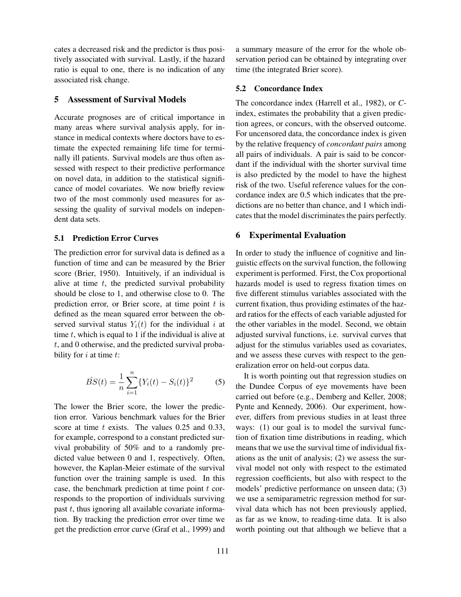cates a decreased risk and the predictor is thus positively associated with survival. Lastly, if the hazard ratio is equal to one, there is no indication of any associated risk change.

### 5 Assessment of Survival Models

Accurate prognoses are of critical importance in many areas where survival analysis apply, for instance in medical contexts where doctors have to estimate the expected remaining life time for terminally ill patients. Survival models are thus often assessed with respect to their predictive performance on novel data, in addition to the statistical significance of model covariates. We now briefly review two of the most commonly used measures for assessing the quality of survival models on independent data sets.

## 5.1 Prediction Error Curves

The prediction error for survival data is defined as a function of time and can be measured by the Brier score (Brier, 1950). Intuitively, if an individual is alive at time  $t$ , the predicted survival probability should be close to 1, and otherwise close to 0. The prediction error, or Brier score, at time point  $t$  is defined as the mean squared error between the observed survival status  $Y_i(t)$  for the individual i at time  $t$ , which is equal to 1 if the individual is alive at t, and 0 otherwise, and the predicted survival probability for  $i$  at time  $t$ :

$$
\hat{BS}(t) = \frac{1}{n} \sum_{i=1}^{n} \{ Y_i(t) - S_i(t) \}^2
$$
 (5)

The lower the Brier score, the lower the prediction error. Various benchmark values for the Brier score at time  $t$  exists. The values 0.25 and 0.33, for example, correspond to a constant predicted survival probability of 50% and to a randomly predicted value between 0 and 1, respectively. Often, however, the Kaplan-Meier estimate of the survival function over the training sample is used. In this case, the benchmark prediction at time point  $t$  corresponds to the proportion of individuals surviving past  $t$ , thus ignoring all available covariate information. By tracking the prediction error over time we get the prediction error curve (Graf et al., 1999) and a summary measure of the error for the whole observation period can be obtained by integrating over time (the integrated Brier score).

## 5.2 Concordance Index

The concordance index (Harrell et al., 1982), or *C*index, estimates the probability that a given prediction agrees, or concurs, with the observed outcome. For uncensored data, the concordance index is given by the relative frequency of *concordant pairs* among all pairs of individuals. A pair is said to be concordant if the individual with the shorter survival time is also predicted by the model to have the highest risk of the two. Useful reference values for the concordance index are 0.5 which indicates that the predictions are no better than chance, and 1 which indicates that the model discriminates the pairs perfectly.

## 6 Experimental Evaluation

In order to study the influence of cognitive and linguistic effects on the survival function, the following experiment is performed. First, the Cox proportional hazards model is used to regress fixation times on five different stimulus variables associated with the current fixation, thus providing estimates of the hazard ratios for the effects of each variable adjusted for the other variables in the model. Second, we obtain adjusted survival functions, i.e. survival curves that adjust for the stimulus variables used as covariates, and we assess these curves with respect to the generalization error on held-out corpus data.

It is worth pointing out that regression studies on the Dundee Corpus of eye movements have been carried out before (e.g., Demberg and Keller, 2008; Pynte and Kennedy, 2006). Our experiment, however, differs from previous studies in at least three ways: (1) our goal is to model the survival function of fixation time distributions in reading, which means that we use the survival time of individual fixations as the unit of analysis; (2) we assess the survival model not only with respect to the estimated regression coefficients, but also with respect to the models' predictive performance on unseen data; (3) we use a semiparametric regression method for survival data which has not been previously applied, as far as we know, to reading-time data. It is also worth pointing out that although we believe that a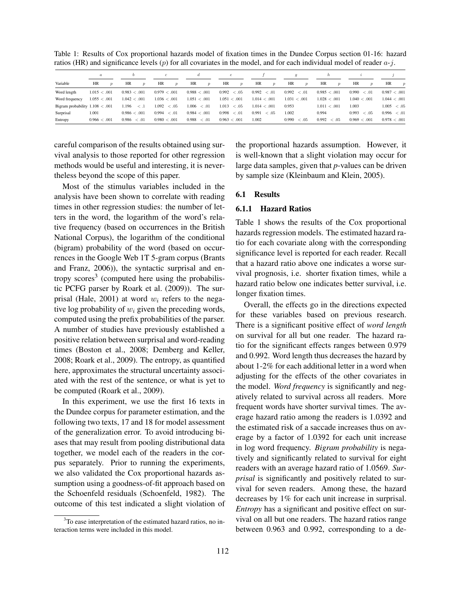Table 1: Results of Cox proportional hazards model of fixation times in the Dundee Corpus section 01-16: hazard ratios (HR) and significance levels (p) for all covariates in the model, and for each individual model of reader  $a-j$ .

|                                   | $\boldsymbol{a}$              |                        |                        |                        | е                      |                        |                        |                        |                        |                        |
|-----------------------------------|-------------------------------|------------------------|------------------------|------------------------|------------------------|------------------------|------------------------|------------------------|------------------------|------------------------|
| Variable                          | <b>HR</b><br>$\boldsymbol{v}$ | HR<br>$\boldsymbol{v}$ | HR<br>$\boldsymbol{v}$ | HR<br>$\boldsymbol{p}$ | HR<br>$\boldsymbol{p}$ | HR<br>$\boldsymbol{v}$ | HR<br>$\boldsymbol{v}$ | HR<br>$\boldsymbol{v}$ | HR<br>$\boldsymbol{v}$ | HR<br>$\boldsymbol{p}$ |
| Word length                       | 1.015 < .001                  | 0.983 < .001           | 0.979 < 0.001          | 0.988 < .001           | 0.992<br>< 0.05        | 0.992<br><.01          | 0.992<br><.01          | 0.985 < .001           | 0.990<br><.01          | 0.987 < .001           |
| Word frequency                    | 1.055 < .001                  | 1.042 < .001           | 1.036 < .001           | 1.051 < .001           | 1.051 < .001           | 1.014 < .001           | 1.031 < .001           | 1.028 < .001           | 1.040 < .001           | 1.044 < .001           |
| Bigram probability $1.108 < .001$ |                               | . 196<br>$\leq .1$     | 1.092<br>< .05         | 1.006<br>< 0.01        | 1.013<br>< 0.05        | 1.014 < .001           | 0.953                  | 1.011<br>$\sim .001$   | 1.003                  | 1.005<br>< 0.05        |
| Surprisal                         | 1.001                         | 0.986 < .001           | 0.994<br>< 0.01        | 0.984 < 0.001          | 0.998<br><.01          | 0.991<br>< 0.05        | 1.002                  | 0.994                  | $0.993 \leq .05$       | $0.996 \leq .01$       |
| Entropy                           | 0.966 < .001                  | 0.986<br>< 0.01        | 0.980 < .001           | 0.988<br>< 0.01        | 0.963 < .001           | 1.002                  | 0.990<br><.05          | 0.992<br><.05          | 0.969 < .001           | 0.978 < 0.01           |

careful comparison of the results obtained using survival analysis to those reported for other regression methods would be useful and interesting, it is nevertheless beyond the scope of this paper.

Most of the stimulus variables included in the analysis have been shown to correlate with reading times in other regression studies: the number of letters in the word, the logarithm of the word's relative frequency (based on occurrences in the British National Corpus), the logarithm of the conditional (bigram) probability of the word (based on occurrences in the Google Web 1T 5-gram corpus (Brants and Franz, 2006)), the syntactic surprisal and entropy scores<sup>3</sup> (computed here using the probabilistic PCFG parser by Roark et al. (2009)). The surprisal (Hale, 2001) at word  $w_i$  refers to the negative log probability of  $w_i$  given the preceding words, computed using the prefix probabilities of the parser. A number of studies have previously established a positive relation between surprisal and word-reading times (Boston et al., 2008; Demberg and Keller, 2008; Roark et al., 2009). The entropy, as quantified here, approximates the structural uncertainty associated with the rest of the sentence, or what is yet to be computed (Roark et al., 2009).

In this experiment, we use the first 16 texts in the Dundee corpus for parameter estimation, and the following two texts, 17 and 18 for model assessment of the generalization error. To avoid introducing biases that may result from pooling distributional data together, we model each of the readers in the corpus separately. Prior to running the experiments, we also validated the Cox proportional hazards assumption using a goodness-of-fit approach based on the Schoenfeld residuals (Schoenfeld, 1982). The outcome of this test indicated a slight violation of the proportional hazards assumption. However, it is well-known that a slight violation may occur for large data samples, given that *p*-values can be driven by sample size (Kleinbaum and Klein, 2005).

### 6.1 Results

#### 6.1.1 Hazard Ratios

Table 1 shows the results of the Cox proportional hazards regression models. The estimated hazard ratio for each covariate along with the corresponding significance level is reported for each reader. Recall that a hazard ratio above one indicates a worse survival prognosis, i.e. shorter fixation times, while a hazard ratio below one indicates better survival, i.e. longer fixation times.

Overall, the effects go in the directions expected for these variables based on previous research. There is a significant positive effect of *word length* on survival for all but one reader. The hazard ratio for the significant effects ranges between 0.979 and 0.992. Word length thus decreases the hazard by about 1-2% for each additional letter in a word when adjusting for the effects of the other covariates in the model. *Word frequency* is significantly and negatively related to survival across all readers. More frequent words have shorter survival times. The average hazard ratio among the readers is 1.0392 and the estimated risk of a saccade increases thus on average by a factor of 1.0392 for each unit increase in log word frequency. *Bigram probability* is negatively and significantly related to survival for eight readers with an average hazard ratio of 1.0569. *Surprisal* is significantly and positively related to survival for seven readers. Among these, the hazard decreases by 1% for each unit increase in surprisal. *Entropy* has a significant and positive effect on survival on all but one readers. The hazard ratios range between 0.963 and 0.992, corresponding to a de-

<sup>&</sup>lt;sup>3</sup>To ease interpretation of the estimated hazard ratios, no interaction terms were included in this model.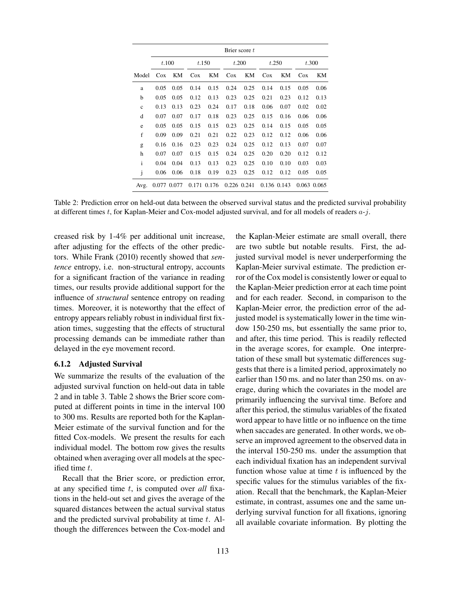|              | Brier score t |       |             |      |        |             |             |      |             |      |
|--------------|---------------|-------|-------------|------|--------|-------------|-------------|------|-------------|------|
|              | t.100         |       | t.150       |      | t.200  |             | t.250       |      | t.300       |      |
| Model        | Cox           | KM    | $\cos$      | KМ   | $\cos$ | KM          | $\cos$      | KМ   | $\cos$      | KМ   |
| a            | 0.05          | 0.05  | 0.14        | 0.15 | 0.24   | 0.25        | 0.14        | 0.15 | 0.05        | 0.06 |
| b            | 0.05          | 0.05  | 0.12        | 0.13 | 0.23   | 0.25        | 0.21        | 0.23 | 0.12        | 0.13 |
| $\mathbf c$  | 0.13          | 0.13  | 0.23        | 0.24 | 0.17   | 0.18        | 0.06        | 0.07 | 0.02        | 0.02 |
| d            | 0.07          | 0.07  | 0.17        | 0.18 | 0.23   | 0.25        | 0.15        | 0.16 | 0.06        | 0.06 |
| e            | 0.05          | 0.05  | 0.15        | 0.15 | 0.23   | 0.25        | 0.14        | 0.15 | 0.05        | 0.05 |
| f            | 0.09          | 0.09  | 0.21        | 0.21 | 0.22   | 0.23        | 0.12        | 0.12 | 0.06        | 0.06 |
| g            | 0.16          | 0.16  | 0.23        | 0.23 | 0.24   | 0.25        | 0.12        | 0.13 | 0.07        | 0.07 |
| h            | 0.07          | 0.07  | 0.15        | 0.15 | 0.24   | 0.25        | 0.20        | 0.20 | 0.12        | 0.12 |
| $\mathbf{i}$ | 0.04          | 0.04  | 0.13        | 0.13 | 0.23   | 0.25        | 0.10        | 0.10 | 0.03        | 0.03 |
| j            | 0.06          | 0.06  | 0.18        | 0.19 | 0.23   | 0.25        | 0.12        | 0.12 | 0.05        | 0.05 |
| Avg.         | 0.077         | 0.077 | 0.171 0.176 |      |        | 0.226 0.241 | 0.136 0.143 |      | 0.063 0.065 |      |

Table 2: Prediction error on held-out data between the observed survival status and the predicted survival probability at different times t, for Kaplan-Meier and Cox-model adjusted survival, and for all models of readers  $a-j$ .

creased risk by 1-4% per additional unit increase, after adjusting for the effects of the other predictors. While Frank (2010) recently showed that *sentence* entropy, i.e. non-structural entropy, accounts for a significant fraction of the variance in reading times, our results provide additional support for the influence of *structural* sentence entropy on reading times. Moreover, it is noteworthy that the effect of entropy appears reliably robust in individual first fixation times, suggesting that the effects of structural processing demands can be immediate rather than delayed in the eye movement record.

## 6.1.2 Adjusted Survival

We summarize the results of the evaluation of the adjusted survival function on held-out data in table 2 and in table 3. Table 2 shows the Brier score computed at different points in time in the interval 100 to 300 ms. Results are reported both for the Kaplan-Meier estimate of the survival function and for the fitted Cox-models. We present the results for each individual model. The bottom row gives the results obtained when averaging over all models at the specified time t.

Recall that the Brier score, or prediction error, at any specified time t, is computed over *all* fixations in the held-out set and gives the average of the squared distances between the actual survival status and the predicted survival probability at time t. Although the differences between the Cox-model and

the Kaplan-Meier estimate are small overall, there are two subtle but notable results. First, the adjusted survival model is never underperforming the Kaplan-Meier survival estimate. The prediction error of the Cox model is consistently lower or equal to the Kaplan-Meier prediction error at each time point and for each reader. Second, in comparison to the Kaplan-Meier error, the prediction error of the adjusted model is systematically lower in the time window 150-250 ms, but essentially the same prior to, and after, this time period. This is readily reflected in the average scores, for example. One interpretation of these small but systematic differences suggests that there is a limited period, approximately no earlier than 150 ms. and no later than 250 ms. on average, during which the covariates in the model are primarily influencing the survival time. Before and after this period, the stimulus variables of the fixated word appear to have little or no influence on the time when saccades are generated. In other words, we observe an improved agreement to the observed data in the interval 150-250 ms. under the assumption that each individual fixation has an independent survival function whose value at time  $t$  is influenced by the specific values for the stimulus variables of the fixation. Recall that the benchmark, the Kaplan-Meier estimate, in contrast, assumes one and the same underlying survival function for all fixations, ignoring all available covariate information. By plotting the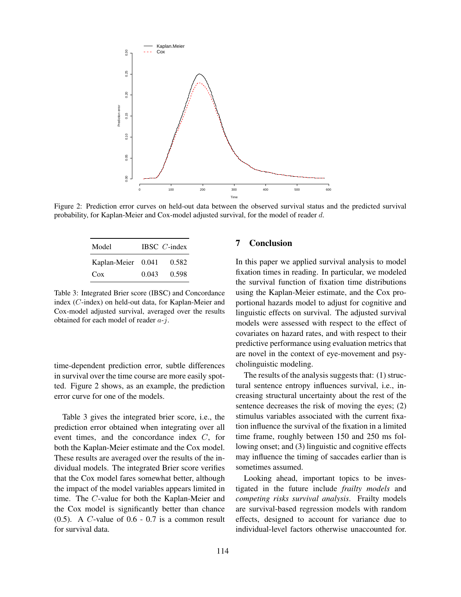

Figure 2: Prediction error curves on held-out data between the observed survival status and the predicted survival probability, for Kaplan-Meier and Cox-model adjusted survival, for the model of reader d.

| Model              |       | IBSC $C$ -index |
|--------------------|-------|-----------------|
| Kaplan-Meier 0.041 |       | 0.582           |
| $\cos$             | 0.043 | 0.598           |

Table 3: Integrated Brier score (IBSC) and Concordance index (C-index) on held-out data, for Kaplan-Meier and Cox-model adjusted survival, averaged over the results obtained for each model of reader  $a-i$ .

time-dependent prediction error, subtle differences in survival over the time course are more easily spotted. Figure 2 shows, as an example, the prediction error curve for one of the models.

Table 3 gives the integrated brier score, i.e., the prediction error obtained when integrating over all event times, and the concordance index C, for both the Kaplan-Meier estimate and the Cox model. These results are averaged over the results of the individual models. The integrated Brier score verifies that the Cox model fares somewhat better, although the impact of the model variables appears limited in time. The C-value for both the Kaplan-Meier and the Cox model is significantly better than chance  $(0.5)$ . A C-value of  $0.6 - 0.7$  is a common result for survival data.

### 7 Conclusion

In this paper we applied survival analysis to model fixation times in reading. In particular, we modeled the survival function of fixation time distributions using the Kaplan-Meier estimate, and the Cox proportional hazards model to adjust for cognitive and linguistic effects on survival. The adjusted survival models were assessed with respect to the effect of covariates on hazard rates, and with respect to their predictive performance using evaluation metrics that are novel in the context of eye-movement and psycholinguistic modeling.

The results of the analysis suggests that: (1) structural sentence entropy influences survival, i.e., increasing structural uncertainty about the rest of the sentence decreases the risk of moving the eyes; (2) stimulus variables associated with the current fixation influence the survival of the fixation in a limited time frame, roughly between 150 and 250 ms following onset; and (3) linguistic and cognitive effects may influence the timing of saccades earlier than is sometimes assumed.

Looking ahead, important topics to be investigated in the future include *frailty models* and *competing risks survival analysis*. Frailty models are survival-based regression models with random effects, designed to account for variance due to individual-level factors otherwise unaccounted for.